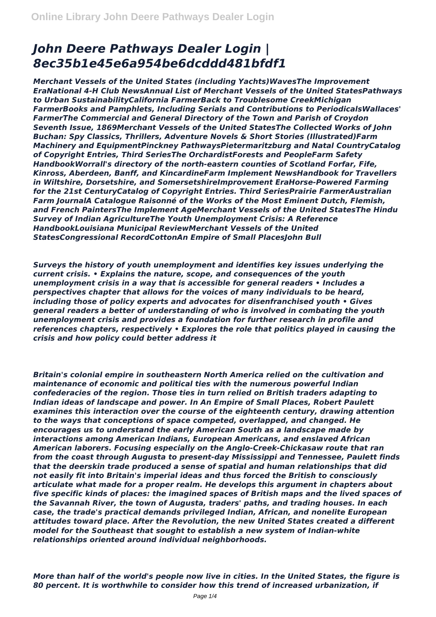## *John Deere Pathways Dealer Login | 8ec35b1e45e6a954be6dcddd481bfdf1*

*Merchant Vessels of the United States (including Yachts)WavesThe Improvement EraNational 4-H Club NewsAnnual List of Merchant Vessels of the United StatesPathways to Urban SustainabilityCalifornia FarmerBack to Troublesome CreekMichigan FarmerBooks and Pamphlets, Including Serials and Contributions to PeriodicalsWallaces' FarmerThe Commercial and General Directory of the Town and Parish of Croydon Seventh Issue, 1869Merchant Vessels of the United StatesThe Collected Works of John Buchan: Spy Classics, Thrillers, Adventure Novels & Short Stories (Illustrated)Farm Machinery and EquipmentPinckney PathwaysPietermaritzburg and Natal CountryCatalog of Copyright Entries, Third SeriesThe OrchardistForests and PeopleFarm Safety HandbookWorrall's directory of the north-eastern counties of Scotland Forfar, Fife, Kinross, Aberdeen, Banff, and KincardineFarm Implement NewsHandbook for Travellers in Wiltshire, Dorsetshire, and SomersetshireImprovement EraHorse-Powered Farming for the 21st CenturyCatalog of Copyright Entries. Third SeriesPrairie FarmerAustralian Farm JournalA Catalogue Raisonné of the Works of the Most Eminent Dutch, Flemish, and French PaintersThe Implement AgeMerchant Vessels of the United StatesThe Hindu Survey of Indian AgricultureThe Youth Unemployment Crisis: A Reference HandbookLouisiana Municipal ReviewMerchant Vessels of the United StatesCongressional RecordCottonAn Empire of Small PlacesJohn Bull*

*Surveys the history of youth unemployment and identifies key issues underlying the current crisis. • Explains the nature, scope, and consequences of the youth unemployment crisis in a way that is accessible for general readers • Includes a perspectives chapter that allows for the voices of many individuals to be heard, including those of policy experts and advocates for disenfranchised youth • Gives general readers a better of understanding of who is involved in combating the youth unemployment crisis and provides a foundation for further research in profile and references chapters, respectively • Explores the role that politics played in causing the crisis and how policy could better address it*

*Britain's colonial empire in southeastern North America relied on the cultivation and maintenance of economic and political ties with the numerous powerful Indian confederacies of the region. Those ties in turn relied on British traders adapting to Indian ideas of landscape and power. In An Empire of Small Places, Robert Paulett examines this interaction over the course of the eighteenth century, drawing attention to the ways that conceptions of space competed, overlapped, and changed. He encourages us to understand the early American South as a landscape made by interactions among American Indians, European Americans, and enslaved African American laborers. Focusing especially on the Anglo-Creek-Chickasaw route that ran from the coast through Augusta to present-day Mississippi and Tennessee, Paulett finds that the deerskin trade produced a sense of spatial and human relationships that did not easily fit into Britain's imperial ideas and thus forced the British to consciously articulate what made for a proper realm. He develops this argument in chapters about five specific kinds of places: the imagined spaces of British maps and the lived spaces of the Savannah River, the town of Augusta, traders' paths, and trading houses. In each case, the trade's practical demands privileged Indian, African, and nonelite European attitudes toward place. After the Revolution, the new United States created a different model for the Southeast that sought to establish a new system of Indian-white relationships oriented around individual neighborhoods.*

*More than half of the world's people now live in cities. In the United States, the figure is 80 percent. It is worthwhile to consider how this trend of increased urbanization, if*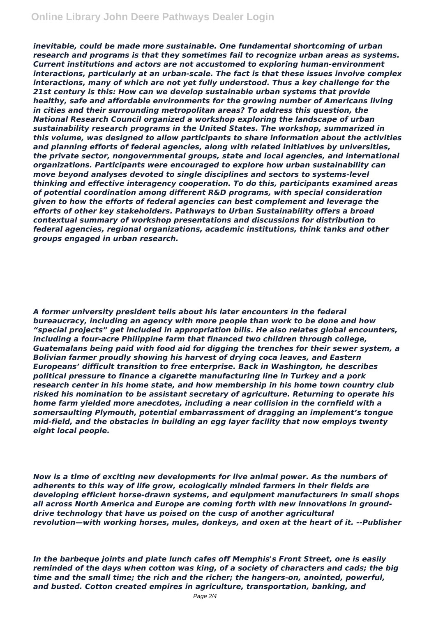*inevitable, could be made more sustainable. One fundamental shortcoming of urban research and programs is that they sometimes fail to recognize urban areas as systems. Current institutions and actors are not accustomed to exploring human-environment interactions, particularly at an urban-scale. The fact is that these issues involve complex interactions, many of which are not yet fully understood. Thus a key challenge for the 21st century is this: How can we develop sustainable urban systems that provide healthy, safe and affordable environments for the growing number of Americans living in cities and their surrounding metropolitan areas? To address this question, the National Research Council organized a workshop exploring the landscape of urban sustainability research programs in the United States. The workshop, summarized in this volume, was designed to allow participants to share information about the activities and planning efforts of federal agencies, along with related initiatives by universities, the private sector, nongovernmental groups, state and local agencies, and international organizations. Participants were encouraged to explore how urban sustainability can move beyond analyses devoted to single disciplines and sectors to systems-level thinking and effective interagency cooperation. To do this, participants examined areas of potential coordination among different R&D programs, with special consideration given to how the efforts of federal agencies can best complement and leverage the efforts of other key stakeholders. Pathways to Urban Sustainability offers a broad contextual summary of workshop presentations and discussions for distribution to federal agencies, regional organizations, academic institutions, think tanks and other groups engaged in urban research.*

*A former university president tells about his later encounters in the federal bureaucracy, including an agency with more people than work to be done and how "special projects" get included in appropriation bills. He also relates global encounters, including a four-acre Philippine farm that financed two children through college, Guatemalans being paid with food aid for digging the trenches for their sewer system, a Bolivian farmer proudly showing his harvest of drying coca leaves, and Eastern Europeans' difficult transition to free enterprise. Back in Washington, he describes political pressure to finance a cigarette manufacturing line in Turkey and a pork research center in his home state, and how membership in his home town country club risked his nomination to be assistant secretary of agriculture. Returning to operate his home farm yielded more anecdotes, including a near collision in the cornfield with a somersaulting Plymouth, potential embarrassment of dragging an implement's tongue mid-field, and the obstacles in building an egg layer facility that now employs twenty eight local people.*

*Now is a time of exciting new developments for live animal power. As the numbers of adherents to this way of life grow, ecologically minded farmers in their fields are developing efficient horse-drawn systems, and equipment manufacturers in small shops all across North America and Europe are coming forth with new innovations in grounddrive technology that have us poised on the cusp of another agricultural revolution—with working horses, mules, donkeys, and oxen at the heart of it. --Publisher*

*In the barbeque joints and plate lunch cafes off Memphis's Front Street, one is easily reminded of the days when cotton was king, of a society of characters and cads; the big time and the small time; the rich and the richer; the hangers-on, anointed, powerful, and busted. Cotton created empires in agriculture, transportation, banking, and*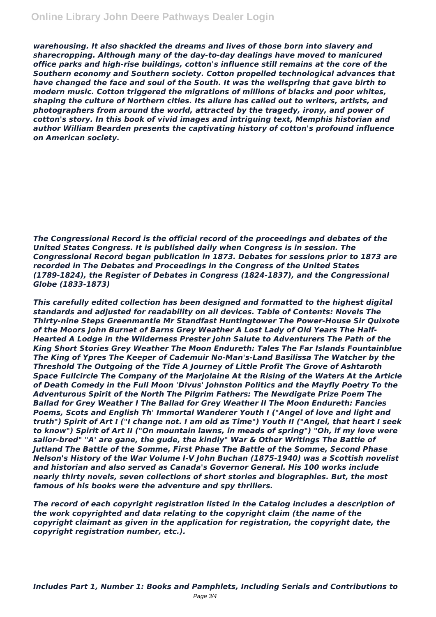*warehousing. It also shackled the dreams and lives of those born into slavery and sharecropping. Although many of the day-to-day dealings have moved to manicured office parks and high-rise buildings, cotton's influence still remains at the core of the Southern economy and Southern society. Cotton propelled technological advances that have changed the face and soul of the South. It was the wellspring that gave birth to modern music. Cotton triggered the migrations of millions of blacks and poor whites, shaping the culture of Northern cities. Its allure has called out to writers, artists, and photographers from around the world, attracted by the tragedy, irony, and power of cotton's story. In this book of vivid images and intriguing text, Memphis historian and author William Bearden presents the captivating history of cotton's profound influence on American society.*

*The Congressional Record is the official record of the proceedings and debates of the United States Congress. It is published daily when Congress is in session. The Congressional Record began publication in 1873. Debates for sessions prior to 1873 are recorded in The Debates and Proceedings in the Congress of the United States (1789-1824), the Register of Debates in Congress (1824-1837), and the Congressional Globe (1833-1873)*

*This carefully edited collection has been designed and formatted to the highest digital standards and adjusted for readability on all devices. Table of Contents: Novels The Thirty-nine Steps Greenmantle Mr Standfast Huntingtower The Power-House Sir Quixote of the Moors John Burnet of Barns Grey Weather A Lost Lady of Old Years The Half-Hearted A Lodge in the Wilderness Prester John Salute to Adventurers The Path of the King Short Stories Grey Weather The Moon Endureth: Tales The Far Islands Fountainblue The King of Ypres The Keeper of Cademuir No-Man's-Land Basilissa The Watcher by the Threshold The Outgoing of the Tide A Journey of Little Profit The Grove of Ashtaroth Space Fullcircle The Company of the Marjolaine At the Rising of the Waters At the Article of Death Comedy in the Full Moon 'Divus' Johnston Politics and the Mayfly Poetry To the Adventurous Spirit of the North The Pilgrim Fathers: The Newdigate Prize Poem The Ballad for Grey Weather I The Ballad for Grey Weather II The Moon Endureth: Fancies Poems, Scots and English Th' Immortal Wanderer Youth I ("Angel of love and light and truth") Spirit of Art I ("I change not. I am old as Time") Youth II ("Angel, that heart I seek to know") Spirit of Art II ("On mountain lawns, in meads of spring") "Oh, if my love were sailor-bred" "A' are gane, the gude, the kindly" War & Other Writings The Battle of Jutland The Battle of the Somme, First Phase The Battle of the Somme, Second Phase Nelson's History of the War Volume I-V John Buchan (1875-1940) was a Scottish novelist and historian and also served as Canada's Governor General. His 100 works include nearly thirty novels, seven collections of short stories and biographies. But, the most famous of his books were the adventure and spy thrillers.*

*The record of each copyright registration listed in the Catalog includes a description of the work copyrighted and data relating to the copyright claim (the name of the copyright claimant as given in the application for registration, the copyright date, the copyright registration number, etc.).*